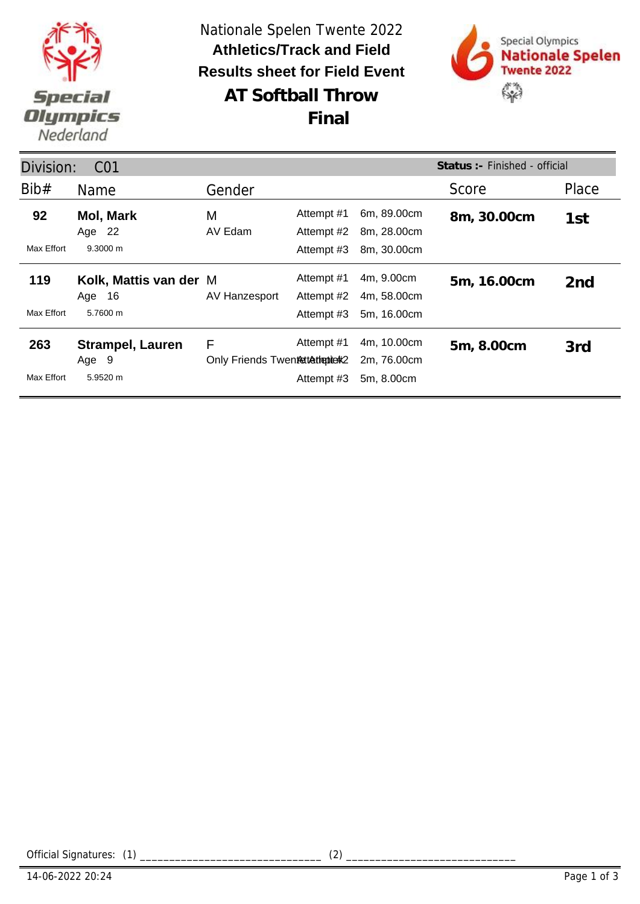

**AT Softball Throw** Nationale Spelen Twente 2022 **Results sheet for Field Event Athletics/Track and Field Final**



| Status: - Finished - official<br>Division:<br>C <sub>01</sub> |                                                  |                                       |                                        |                                           |             |                 |
|---------------------------------------------------------------|--------------------------------------------------|---------------------------------------|----------------------------------------|-------------------------------------------|-------------|-----------------|
| Bib#                                                          | Name                                             | Gender                                |                                        |                                           | Score       | Place           |
| 92<br>Max Effort                                              | <b>Mol, Mark</b><br>Age 22<br>$9.3000 \text{ m}$ | M<br>AV Edam                          | Attempt #1<br>Attempt #2<br>Attempt #3 | 6m, 89.00cm<br>8m, 28.00cm<br>8m, 30.00cm | 8m, 30.00cm | 1st             |
| 119<br>Max Effort                                             | Kolk, Mattis van der M<br>Age 16<br>5.7600 m     | AV Hanzesport                         | Attempt #1<br>Attempt #2<br>Attempt #3 | 4m, 9.00cm<br>4m, 58.00cm<br>5m, 16.00cm  | 5m, 16.00cm | 2 <sub>nd</sub> |
| 263<br>Max Effort                                             | <b>Strampel, Lauren</b><br>Age 9<br>5.9520 m     | F<br>Only Friends Twentsttathepiterk2 | Attempt #1<br>Attempt #3               | 4m, 10.00cm<br>2m, 76.00cm<br>5m, 8.00cm  | 5m, 8.00cm  | 3rd             |

Official Signatures: (1) \_\_\_\_\_\_\_\_\_\_\_\_\_\_\_\_\_\_\_\_\_\_\_\_\_\_\_\_\_\_\_ (2) \_\_\_\_\_\_\_\_\_\_\_\_\_\_\_\_\_\_\_\_\_\_\_\_\_\_\_\_\_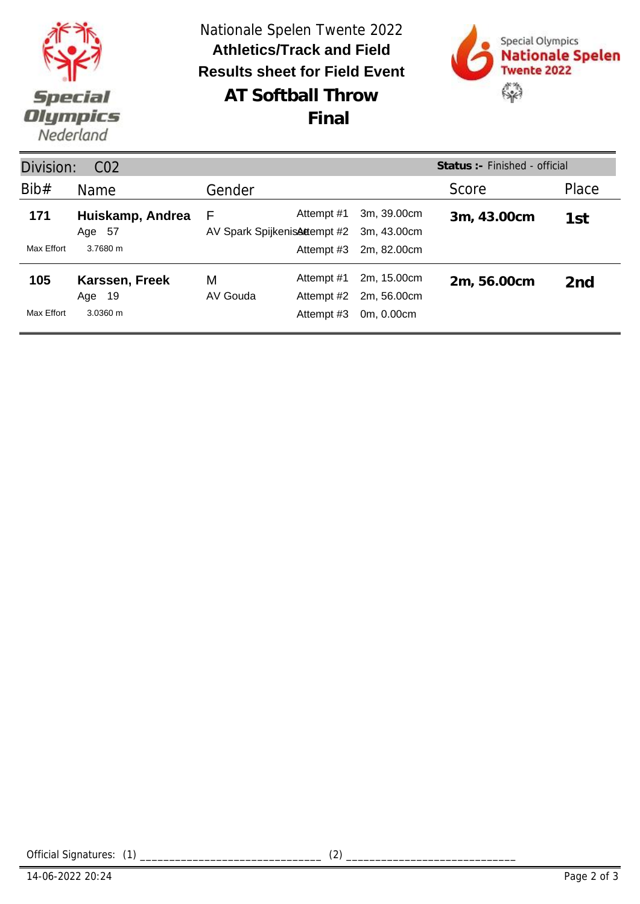

| Status :- Finished - official<br>Division:<br>CO <sub>2</sub> |                            |                                    |                          |                            |             |                 |  |
|---------------------------------------------------------------|----------------------------|------------------------------------|--------------------------|----------------------------|-------------|-----------------|--|
| Bib#                                                          | Name                       | Gender                             |                          |                            | Score       | Place           |  |
| 171                                                           | Huiskamp, Andrea<br>Age 57 | F<br>AV Spark Spijkenis Attempt #2 | Attempt #1               | 3m, 39.00cm<br>3m, 43.00cm | 3m, 43.00cm | 1st             |  |
| Max Effort                                                    | 3.7680 m                   |                                    | Attempt #3               | 2m, 82.00cm                |             |                 |  |
| 105                                                           | Karssen, Freek<br>Age 19   | М<br>AV Gouda                      | Attempt #1<br>Attempt #2 | 2m, 15.00cm<br>2m, 56.00cm | 2m, 56.00cm | 2 <sub>nd</sub> |  |
| Max Effort                                                    | 3.0360 m                   |                                    | Attempt #3               | 0m, 0.00cm                 |             |                 |  |